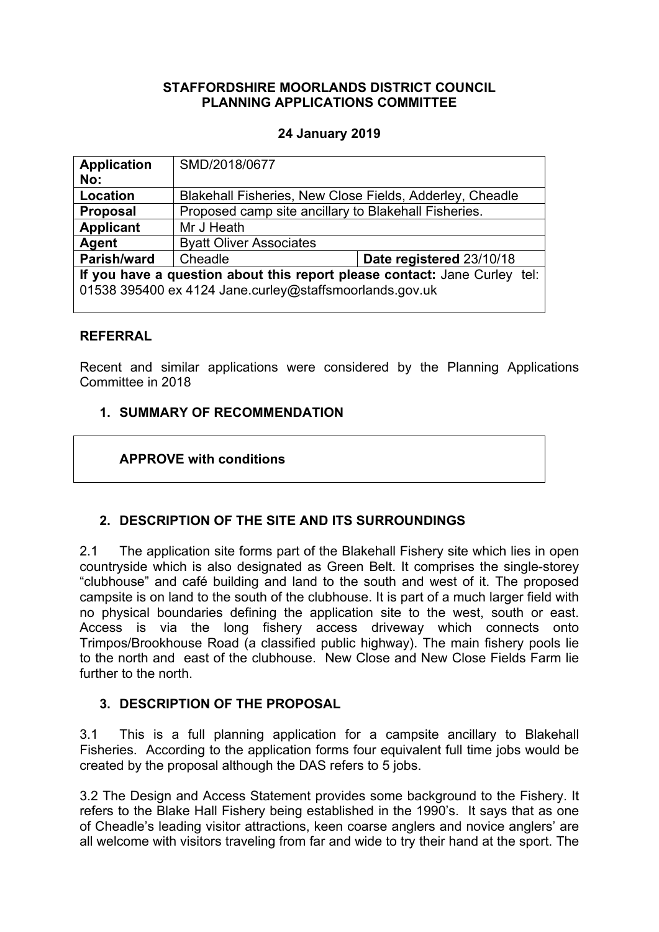## **STAFFORDSHIRE MOORLANDS DISTRICT COUNCIL PLANNING APPLICATIONS COMMITTEE**

## **24 January 2019**

| <b>Application</b>                                                        | SMD/2018/0677                                            |                          |
|---------------------------------------------------------------------------|----------------------------------------------------------|--------------------------|
| No:                                                                       |                                                          |                          |
| <b>Location</b>                                                           | Blakehall Fisheries, New Close Fields, Adderley, Cheadle |                          |
| <b>Proposal</b>                                                           | Proposed camp site ancillary to Blakehall Fisheries.     |                          |
| <b>Applicant</b>                                                          | Mr J Heath                                               |                          |
| Agent                                                                     | <b>Byatt Oliver Associates</b>                           |                          |
| Parish/ward                                                               | Cheadle                                                  | Date registered 23/10/18 |
| If you have a question about this report please contact: Jane Curley tel: |                                                          |                          |
| 01538 395400 ex 4124 Jane.curley@staffsmoorlands.gov.uk                   |                                                          |                          |
|                                                                           |                                                          |                          |

## **REFERRAL**

Recent and similar applications were considered by the Planning Applications Committee in 2018

# **1. SUMMARY OF RECOMMENDATION**

## **APPROVE with conditions**

# **2. DESCRIPTION OF THE SITE AND ITS SURROUNDINGS**

2.1 The application site forms part of the Blakehall Fishery site which lies in open countryside which is also designated as Green Belt. It comprises the single-storey "clubhouse" and café building and land to the south and west of it. The proposed campsite is on land to the south of the clubhouse. It is part of a much larger field with no physical boundaries defining the application site to the west, south or east. Access is via the long fishery access driveway which connects onto Trimpos/Brookhouse Road (a classified public highway). The main fishery pools lie to the north and east of the clubhouse. New Close and New Close Fields Farm lie further to the north.

## **3. DESCRIPTION OF THE PROPOSAL**

3.1 This is a full planning application for a campsite ancillary to Blakehall Fisheries. According to the application forms four equivalent full time jobs would be created by the proposal although the DAS refers to 5 jobs.

3.2 The Design and Access Statement provides some background to the Fishery. It refers to the Blake Hall Fishery being established in the 1990's. It says that as one of Cheadle's leading visitor attractions, keen coarse anglers and novice anglers' are all welcome with visitors traveling from far and wide to try their hand at the sport. The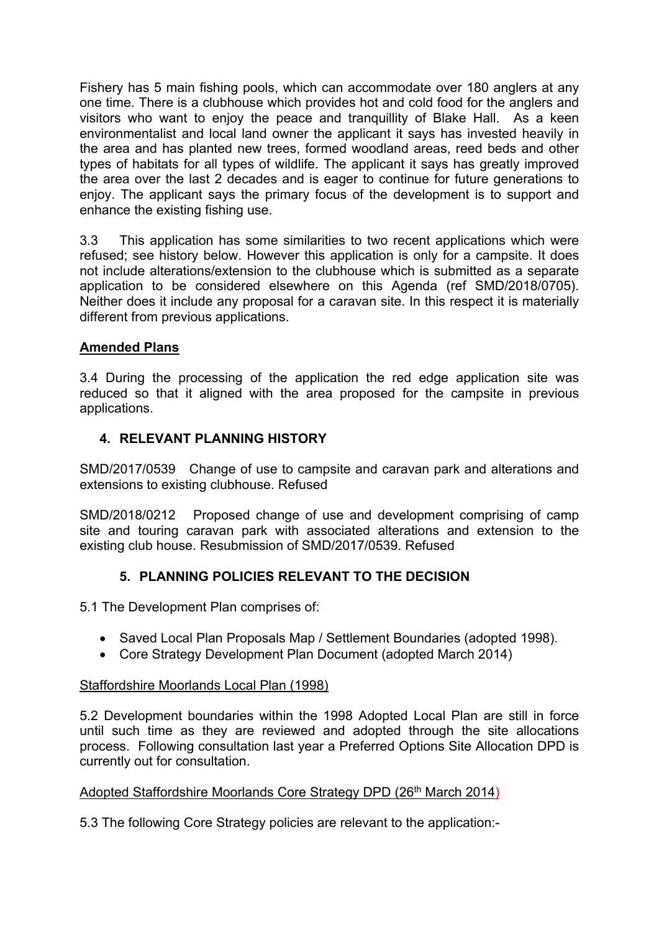Fishery has 5 main fishing pools, which can accommodate over 180 anglers at any one time. There is a clubhouse which provides hot and cold food for the anglers and visitors who want to enjoy the peace and tranquillity of Blake Hall. As a keen environmentalist and local land owner the applicant it says has invested heavily in the area and has planted new trees, formed woodland areas, reed beds and other types of habitats for all types of wildlife. The applicant it says has greatly improved the area over the last 2 decades and is eager to continue for future generations to enjoy. The applicant says the primary focus of the development is to support and enhance the existing fishing use.

3.3 This application has some similarities to two recent applications which were refused; see history below. However this application is only for a campsite. It does not include alterations/extension to the clubhouse which is submitted as a separate application to be considered elsewhere on this Agenda (ref SMD/2018/0705). Neither does it include any proposal for a caravan site. In this respect it is materially different from previous applications.

# **Amended Plans**

3.4 During the processing of the application the red edge application site was reduced so that it aligned with the area proposed for the campsite in previous applications.

# **4. RELEVANT PLANNING HISTORY**

SMD/2017/0539Change of use to campsite and caravan park and alterations and extensions to existing clubhouse. Refused

SMD/2018/0212 Proposed change of use and development comprising of camp site and touring caravan park with associated alterations and extension to the existing club house. Resubmission of SMD/2017/0539. Refused

# **5. PLANNING POLICIES RELEVANT TO THE DECISION**

5.1 The Development Plan comprises of:

- Saved Local Plan Proposals Map / Settlement Boundaries (adopted 1998).
- Core Strategy Development Plan Document (adopted March 2014)

# Staffordshire Moorlands Local Plan (1998)

5.2 Development boundaries within the 1998 Adopted Local Plan are still in force until such time as they are reviewed and adopted through the site allocations process. Following consultation last year a Preferred Options Site Allocation DPD is currently out for consultation.

# Adopted Staffordshire Moorlands Core Strategy DPD (26<sup>th</sup> March 2014)

5.3 The following Core Strategy policies are relevant to the application:-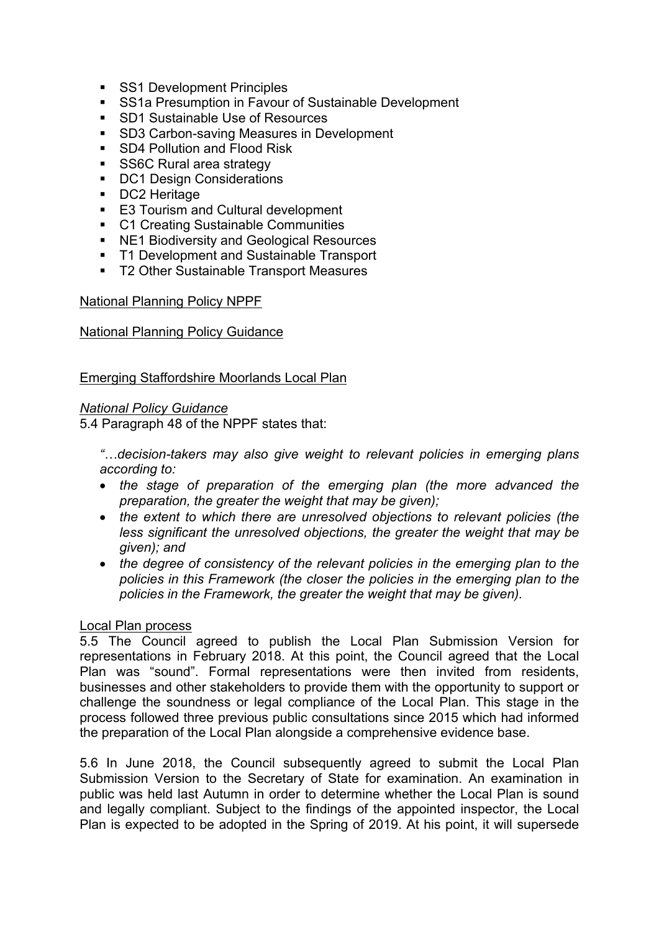- SS1 Development Principles
- **SS1a Presumption in Favour of Sustainable Development**
- **SD1 Sustainable Use of Resources**
- SD3 Carbon-saving Measures in Development
- SD4 Pollution and Flood Risk
- SS6C Rural area strategy
- DC1 Design Considerations
- **DC2 Heritage**
- E3 Tourism and Cultural development
- C1 Creating Sustainable Communities
- NE1 Biodiversity and Geological Resources
- **T1 Development and Sustainable Transport**
- T2 Other Sustainable Transport Measures

#### National Planning Policy NPPF

#### National Planning Policy Guidance

#### Emerging Staffordshire Moorlands Local Plan

#### *National Policy Guidance*

5.4 Paragraph 48 of the NPPF states that:

*"…decision-takers may also give weight to relevant policies in emerging plans according to:*

- *the stage of preparation of the emerging plan (the more advanced the preparation, the greater the weight that may be given);*
- *the extent to which there are unresolved objections to relevant policies (the less significant the unresolved objections, the greater the weight that may be given); and*
- *the degree of consistency of the relevant policies in the emerging plan to the policies in this Framework (the closer the policies in the emerging plan to the policies in the Framework, the greater the weight that may be given).*

#### Local Plan process

5.5 The Council agreed to publish the Local Plan Submission Version for representations in February 2018. At this point, the Council agreed that the Local Plan was "sound". Formal representations were then invited from residents, businesses and other stakeholders to provide them with the opportunity to support or challenge the soundness or legal compliance of the Local Plan. This stage in the process followed three previous public consultations since 2015 which had informed the preparation of the Local Plan alongside a comprehensive evidence base.

5.6 In June 2018, the Council subsequently agreed to submit the Local Plan Submission Version to the Secretary of State for examination. An examination in public was held last Autumn in order to determine whether the Local Plan is sound and legally compliant. Subject to the findings of the appointed inspector, the Local Plan is expected to be adopted in the Spring of 2019. At his point, it will supersede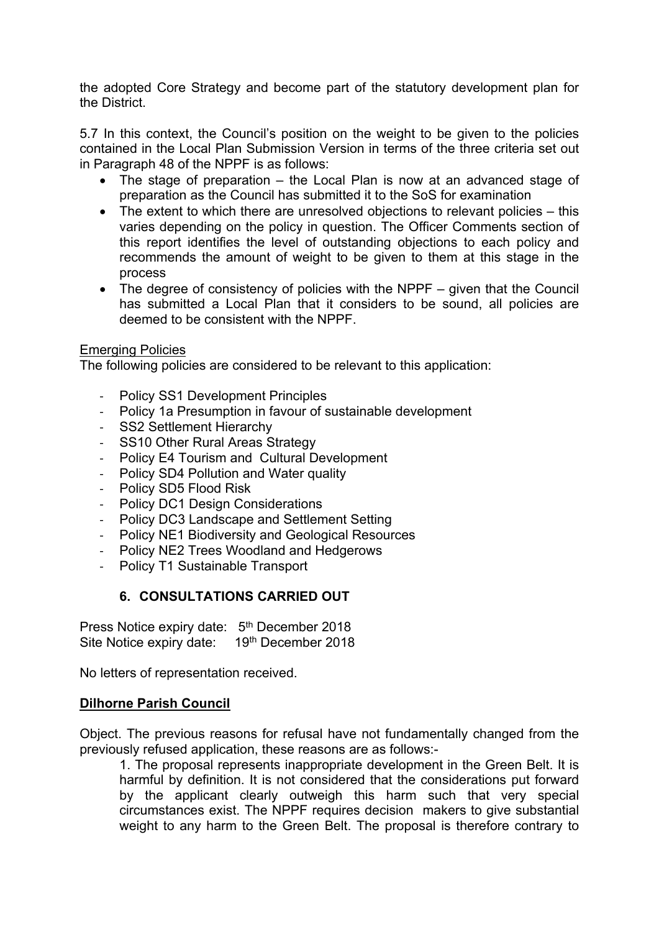the adopted Core Strategy and become part of the statutory development plan for the District.

5.7 In this context, the Council's position on the weight to be given to the policies contained in the Local Plan Submission Version in terms of the three criteria set out in Paragraph 48 of the NPPF is as follows:

- The stage of preparation the Local Plan is now at an advanced stage of preparation as the Council has submitted it to the SoS for examination
- The extent to which there are unresolved objections to relevant policies this varies depending on the policy in question. The Officer Comments section of this report identifies the level of outstanding objections to each policy and recommends the amount of weight to be given to them at this stage in the process
- The degree of consistency of policies with the NPPF given that the Council has submitted a Local Plan that it considers to be sound, all policies are deemed to be consistent with the NPPF.

## Emerging Policies

The following policies are considered to be relevant to this application:

- Policy SS1 Development Principles
- Policy 1a Presumption in favour of sustainable development
- SS2 Settlement Hierarchy
- SS10 Other Rural Areas Strategy
- Policy E4 Tourism and Cultural Development
- Policy SD4 Pollution and Water quality
- Policy SD5 Flood Risk
- Policy DC1 Design Considerations
- Policy DC3 Landscape and Settlement Setting
- Policy NE1 Biodiversity and Geological Resources
- Policy NE2 Trees Woodland and Hedgerows
- Policy T1 Sustainable Transport

# **6. CONSULTATIONS CARRIED OUT**

Press Notice expiry date: 5<sup>th</sup> December 2018 Site Notice expiry date: 19th December 2018

No letters of representation received.

## **Dilhorne Parish Council**

Object. The previous reasons for refusal have not fundamentally changed from the previously refused application, these reasons are as follows:-

1. The proposal represents inappropriate development in the Green Belt. It is harmful by definition. It is not considered that the considerations put forward by the applicant clearly outweigh this harm such that very special circumstances exist. The NPPF requires decision makers to give substantial weight to any harm to the Green Belt. The proposal is therefore contrary to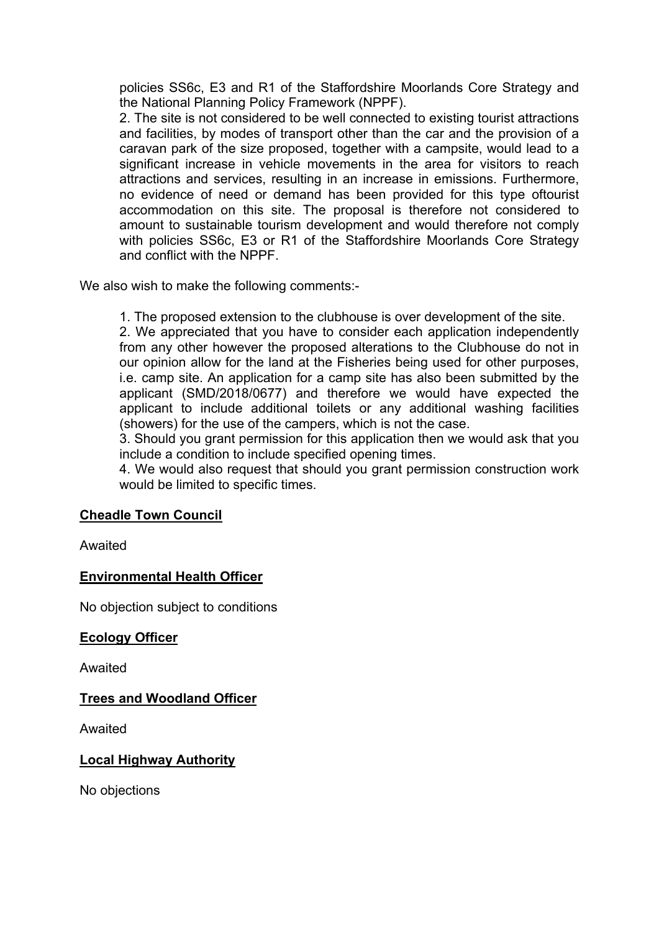policies SS6c, E3 and R1 of the Staffordshire Moorlands Core Strategy and the National Planning Policy Framework (NPPF).

2. The site is not considered to be well connected to existing tourist attractions and facilities, by modes of transport other than the car and the provision of a caravan park of the size proposed, together with a campsite, would lead to a significant increase in vehicle movements in the area for visitors to reach attractions and services, resulting in an increase in emissions. Furthermore, no evidence of need or demand has been provided for this type oftourist accommodation on this site. The proposal is therefore not considered to amount to sustainable tourism development and would therefore not comply with policies SS6c, E3 or R1 of the Staffordshire Moorlands Core Strategy and conflict with the NPPF.

We also wish to make the following comments:-

1. The proposed extension to the clubhouse is over development of the site.

2. We appreciated that you have to consider each application independently from any other however the proposed alterations to the Clubhouse do not in our opinion allow for the land at the Fisheries being used for other purposes, i.e. camp site. An application for a camp site has also been submitted by the applicant (SMD/2018/0677) and therefore we would have expected the applicant to include additional toilets or any additional washing facilities (showers) for the use of the campers, which is not the case.

3. Should you grant permission for this application then we would ask that you include a condition to include specified opening times.

4. We would also request that should you grant permission construction work would be limited to specific times.

## **Cheadle Town Council**

Awaited

## **Environmental Health Officer**

No objection subject to conditions

#### **Ecology Officer**

Awaited

## **Trees and Woodland Officer**

Awaited

## **Local Highway Authority**

No objections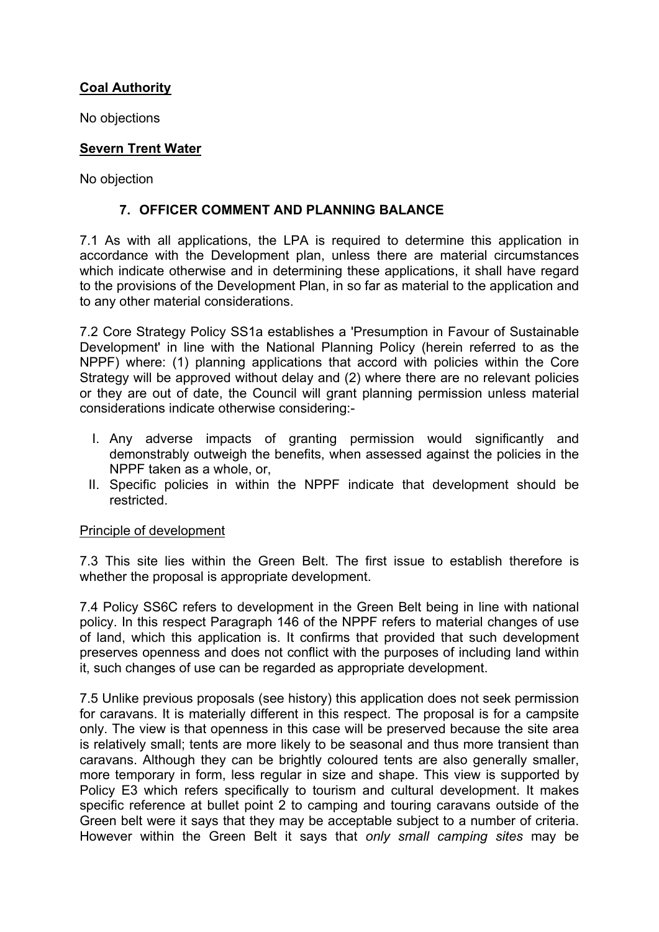# **Coal Authority**

No objections

# **Severn Trent Water**

No objection

# **7. OFFICER COMMENT AND PLANNING BALANCE**

7.1 As with all applications, the LPA is required to determine this application in accordance with the Development plan, unless there are material circumstances which indicate otherwise and in determining these applications, it shall have regard to the provisions of the Development Plan, in so far as material to the application and to any other material considerations.

7.2 Core Strategy Policy SS1a establishes a 'Presumption in Favour of Sustainable Development' in line with the National Planning Policy (herein referred to as the NPPF) where: (1) planning applications that accord with policies within the Core Strategy will be approved without delay and (2) where there are no relevant policies or they are out of date, the Council will grant planning permission unless material considerations indicate otherwise considering:-

- I. Any adverse impacts of granting permission would significantly and demonstrably outweigh the benefits, when assessed against the policies in the NPPF taken as a whole, or,
- II. Specific policies in within the NPPF indicate that development should be restricted.

# Principle of development

7.3 This site lies within the Green Belt. The first issue to establish therefore is whether the proposal is appropriate development.

7.4 Policy SS6C refers to development in the Green Belt being in line with national policy. In this respect Paragraph 146 of the NPPF refers to material changes of use of land, which this application is. It confirms that provided that such development preserves openness and does not conflict with the purposes of including land within it, such changes of use can be regarded as appropriate development.

7.5 Unlike previous proposals (see history) this application does not seek permission for caravans. It is materially different in this respect. The proposal is for a campsite only. The view is that openness in this case will be preserved because the site area is relatively small; tents are more likely to be seasonal and thus more transient than caravans. Although they can be brightly coloured tents are also generally smaller, more temporary in form, less regular in size and shape. This view is supported by Policy E3 which refers specifically to tourism and cultural development. It makes specific reference at bullet point 2 to camping and touring caravans outside of the Green belt were it says that they may be acceptable subject to a number of criteria. However within the Green Belt it says that *only small camping sites* may be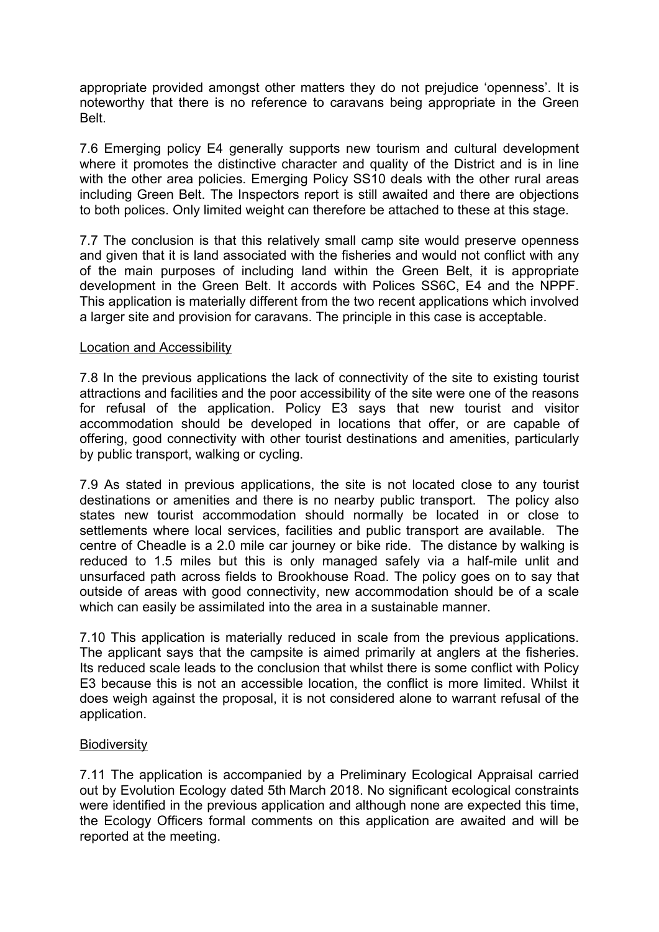appropriate provided amongst other matters they do not prejudice 'openness'. It is noteworthy that there is no reference to caravans being appropriate in the Green Belt.

7.6 Emerging policy E4 generally supports new tourism and cultural development where it promotes the distinctive character and quality of the District and is in line with the other area policies. Emerging Policy SS10 deals with the other rural areas including Green Belt. The Inspectors report is still awaited and there are objections to both polices. Only limited weight can therefore be attached to these at this stage.

7.7 The conclusion is that this relatively small camp site would preserve openness and given that it is land associated with the fisheries and would not conflict with any of the main purposes of including land within the Green Belt, it is appropriate development in the Green Belt. It accords with Polices SS6C, E4 and the NPPF. This application is materially different from the two recent applications which involved a larger site and provision for caravans. The principle in this case is acceptable.

#### Location and Accessibility

7.8 In the previous applications the lack of connectivity of the site to existing tourist attractions and facilities and the poor accessibility of the site were one of the reasons for refusal of the application. Policy E3 says that new tourist and visitor accommodation should be developed in locations that offer, or are capable of offering, good connectivity with other tourist destinations and amenities, particularly by public transport, walking or cycling.

7.9 As stated in previous applications, the site is not located close to any tourist destinations or amenities and there is no nearby public transport. The policy also states new tourist accommodation should normally be located in or close to settlements where local services, facilities and public transport are available. The centre of Cheadle is a 2.0 mile car journey or bike ride. The distance by walking is reduced to 1.5 miles but this is only managed safely via a half-mile unlit and unsurfaced path across fields to Brookhouse Road. The policy goes on to say that outside of areas with good connectivity, new accommodation should be of a scale which can easily be assimilated into the area in a sustainable manner.

7.10 This application is materially reduced in scale from the previous applications. The applicant says that the campsite is aimed primarily at anglers at the fisheries. Its reduced scale leads to the conclusion that whilst there is some conflict with Policy E3 because this is not an accessible location, the conflict is more limited. Whilst it does weigh against the proposal, it is not considered alone to warrant refusal of the application.

#### **Biodiversity**

7.11 The application is accompanied by a Preliminary Ecological Appraisal carried out by Evolution Ecology dated 5th March 2018. No significant ecological constraints were identified in the previous application and although none are expected this time, the Ecology Officers formal comments on this application are awaited and will be reported at the meeting.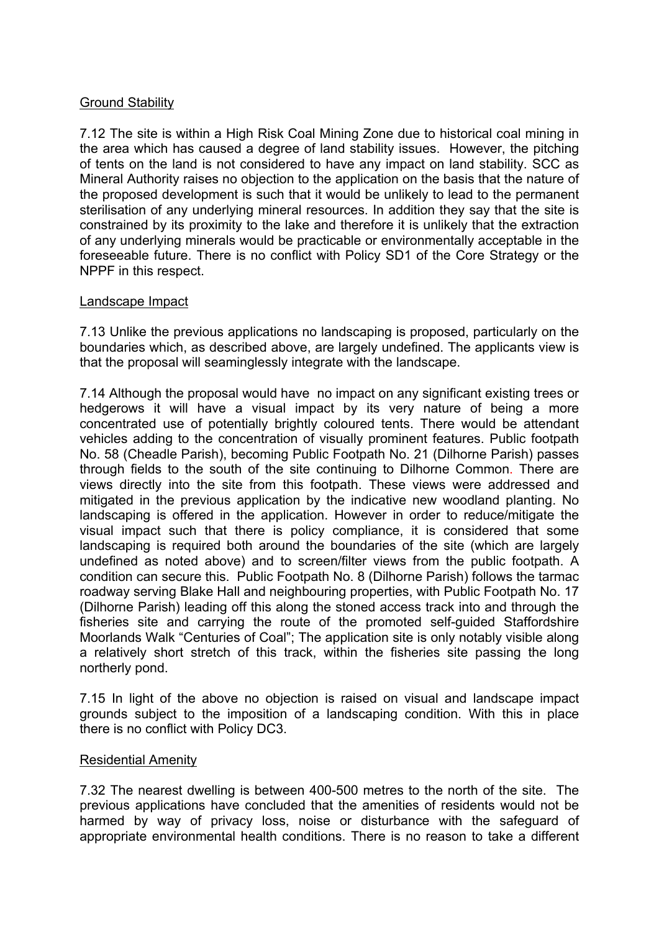## Ground Stability

7.12 The site is within a High Risk Coal Mining Zone due to historical coal mining in the area which has caused a degree of land stability issues. However, the pitching of tents on the land is not considered to have any impact on land stability. SCC as Mineral Authority raises no objection to the application on the basis that the nature of the proposed development is such that it would be unlikely to lead to the permanent sterilisation of any underlying mineral resources. In addition they say that the site is constrained by its proximity to the lake and therefore it is unlikely that the extraction of any underlying minerals would be practicable or environmentally acceptable in the foreseeable future. There is no conflict with Policy SD1 of the Core Strategy or the NPPF in this respect.

#### Landscape Impact

7.13 Unlike the previous applications no landscaping is proposed, particularly on the boundaries which, as described above, are largely undefined. The applicants view is that the proposal will seaminglessly integrate with the landscape.

7.14 Although the proposal would have no impact on any significant existing trees or hedgerows it will have a visual impact by its very nature of being a more concentrated use of potentially brightly coloured tents. There would be attendant vehicles adding to the concentration of visually prominent features. Public footpath No. 58 (Cheadle Parish), becoming Public Footpath No. 21 (Dilhorne Parish) passes through fields to the south of the site continuing to Dilhorne Common. There are views directly into the site from this footpath. These views were addressed and mitigated in the previous application by the indicative new woodland planting. No landscaping is offered in the application. However in order to reduce/mitigate the visual impact such that there is policy compliance, it is considered that some landscaping is required both around the boundaries of the site (which are largely undefined as noted above) and to screen/filter views from the public footpath. A condition can secure this. Public Footpath No. 8 (Dilhorne Parish) follows the tarmac roadway serving Blake Hall and neighbouring properties, with Public Footpath No. 17 (Dilhorne Parish) leading off this along the stoned access track into and through the fisheries site and carrying the route of the promoted self-guided Staffordshire Moorlands Walk "Centuries of Coal"; The application site is only notably visible along a relatively short stretch of this track, within the fisheries site passing the long northerly pond.

7.15 In light of the above no objection is raised on visual and landscape impact grounds subject to the imposition of a landscaping condition. With this in place there is no conflict with Policy DC3.

#### Residential Amenity

7.32 The nearest dwelling is between 400-500 metres to the north of the site. The previous applications have concluded that the amenities of residents would not be harmed by way of privacy loss, noise or disturbance with the safeguard of appropriate environmental health conditions. There is no reason to take a different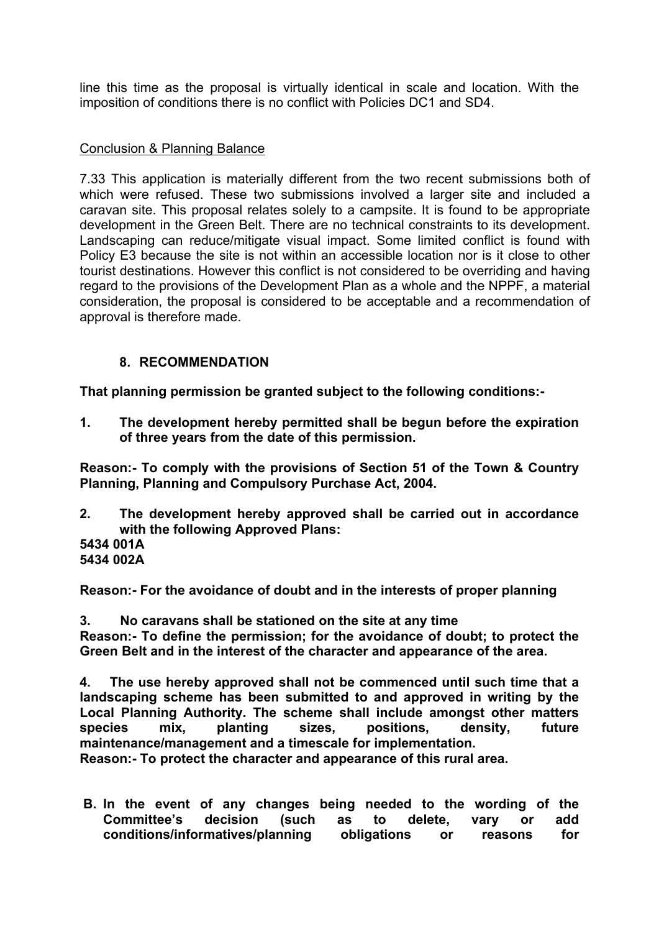line this time as the proposal is virtually identical in scale and location. With the imposition of conditions there is no conflict with Policies DC1 and SD4.

## Conclusion & Planning Balance

7.33 This application is materially different from the two recent submissions both of which were refused. These two submissions involved a larger site and included a caravan site. This proposal relates solely to a campsite. It is found to be appropriate development in the Green Belt. There are no technical constraints to its development. Landscaping can reduce/mitigate visual impact. Some limited conflict is found with Policy E3 because the site is not within an accessible location nor is it close to other tourist destinations. However this conflict is not considered to be overriding and having regard to the provisions of the Development Plan as a whole and the NPPF, a material consideration, the proposal is considered to be acceptable and a recommendation of approval is therefore made.

## **8. RECOMMENDATION**

**That planning permission be granted subject to the following conditions:-**

**1. The development hereby permitted shall be begun before the expiration of three years from the date of this permission.**

**Reason:- To comply with the provisions of Section 51 of the Town & Country Planning, Planning and Compulsory Purchase Act, 2004.**

- **2. The development hereby approved shall be carried out in accordance with the following Approved Plans: 5434 001A**
- **5434 002A**

**Reason:- For the avoidance of doubt and in the interests of proper planning**

**3. No caravans shall be stationed on the site at any time**

**Reason:- To define the permission; for the avoidance of doubt; to protect the Green Belt and in the interest of the character and appearance of the area.**

**4. The use hereby approved shall not be commenced until such time that a landscaping scheme has been submitted to and approved in writing by the Local Planning Authority. The scheme shall include amongst other matters species mix, planting sizes, positions, density, future maintenance/management and a timescale for implementation.**

**Reason:- To protect the character and appearance of this rural area.** 

**B. In the event of any changes being needed to the wording of the Committee's decision (such as to delete, vary or add conditions/informatives/planning obligations or reasons for**